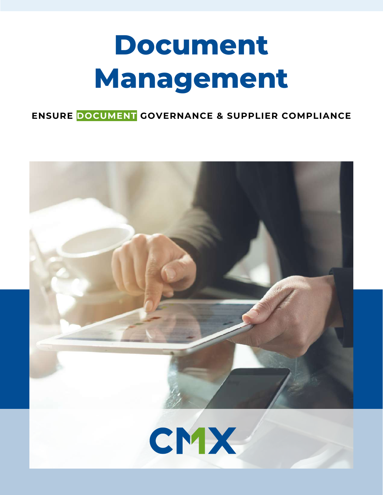# **Document Management**

**ENSURE DOCUMENT GOVERNANCE & SUPPLIER COMPLIANCE**

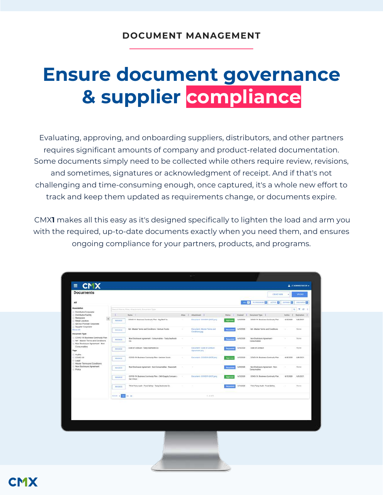## **Ensure document governance & supplier compliance**

Evaluating, approving, and onboarding suppliers, distributors, and other partners requires significant amounts of company and product-related documentation. Some documents simply need to be collected while others require review, revisions, and sometimes, signatures or acknowledgment of receipt. And if that's not challenging and time-consuming enough, once captured, it's a whole new effort to track and keep them updated as requirements change, or documents expire.

CMX**1** makes all this easy as it's designed specifically to lighten the load and arm you with the required, up-to-date documents exactly when you need them, and ensures ongoing compliance for your partners, products, and programs.

| $\equiv$                                                                                                                                                                                                                                                                                                                                                                                                                                                       |                                                               |                      |                                                                        |               |                                              |                 |               |                                                |                   | TADMINISTRATOR -    |
|----------------------------------------------------------------------------------------------------------------------------------------------------------------------------------------------------------------------------------------------------------------------------------------------------------------------------------------------------------------------------------------------------------------------------------------------------------------|---------------------------------------------------------------|----------------------|------------------------------------------------------------------------|---------------|----------------------------------------------|-----------------|---------------|------------------------------------------------|-------------------|---------------------|
| <b>Documents</b>                                                                                                                                                                                                                                                                                                                                                                                                                                               |                                                               |                      |                                                                        |               |                                              |                 |               | <b>CIEATE HEW</b>                              | ٠                 | UNION).             |
| All                                                                                                                                                                                                                                                                                                                                                                                                                                                            |                                                               |                      |                                                                        |               |                                              |                 | ALL <b>EX</b> | <b>IN PROGRESS ET</b><br>ACTIVE ET             | <b>EXPIRED 23</b> | ABCHIVED IT         |
| Association<br>Distributor Corporate<br>Distributor Facility<br>Restaurant<br>$\alpha$<br>Retail Location<br>Service Provider Corporate<br>Supplier Corporate<br>Shirie Ab<br><b>Document Type</b><br>COVID-19: Business Continuity Plan<br>NA - Master Terms and Conditions<br>Non-Disclosure Agreement - Non-<br>٠<br>Consumables<br>Tags<br>Audits<br>CDVID-19<br>×<br>Legal<br>Muster Terms and Conditions<br>Non-Disclosure Agreement<br>٠<br>Policy<br>۰ | <b>QTCI</b><br>Bearch Harns, Alian, Attachment, Document Type |                      |                                                                        |               |                                              |                 |               |                                                |                   |                     |
|                                                                                                                                                                                                                                                                                                                                                                                                                                                                | ٠.                                                            |                      | Mama 1                                                                 |               | Alien I Attachment T                         | States E        | Owated I      | Decument Type 3                                |                   | Active 2 Expiration |
|                                                                                                                                                                                                                                                                                                                                                                                                                                                                |                                                               | <b><i>RANAGE</i></b> | COVID-19: Business Continuity Plan - Big Beef Co.                      | ×.            | Discurrent - COVIDTS (BDP) pag-              | Approved        | 6/8/2020      | COVID-19: Business Continuity Plan             | 6/8/2020          | 6/8/2021            |
|                                                                                                                                                                                                                                                                                                                                                                                                                                                                |                                                               | <b>MANAIE</b>        | NA - Master Terms and Conditions - Venture Foods                       | ÷             | Decument - Maxisc Terms and<br>Constitute pu | Recuented       | 4/5/2020      | NA - Master Terms and Conditions               | $\sim$            | <b>None</b>         |
|                                                                                                                                                                                                                                                                                                                                                                                                                                                                |                                                               | <b>MANAGE</b>        | Non Disclosure Agreement - Consumables - Tasty Seafoods<br>Co.         | $\mathcal{C}$ | ÷                                            | <b>Naturate</b> | 6/9/2020      | Non-Disclosure Agreement -<br>Consumables      | ÷                 | None                |
|                                                                                                                                                                                                                                                                                                                                                                                                                                                                |                                                               | <b>MANASE</b>        | Code of Conduct - Tasty Seafoods Co.                                   | ×.            | Document - Code of Constant<br>Agreement png | <b>Reported</b> | 8/9/2020      | <b>Code of Conduct</b>                         | $\sim$            | Nune                |
|                                                                                                                                                                                                                                                                                                                                                                                                                                                                |                                                               | MANADE               | COVID-19: Business Contrasty Plan - Venture Foods                      | ×.            | Decument - COVID19 (BDP) (mg)                | Approve         | 6/5/2020      | COVID-19: Business Continuity Plan             | 6/6/2020          | 6/8/2021            |
|                                                                                                                                                                                                                                                                                                                                                                                                                                                                |                                                               | <b>MANAGE</b>        | Non-Disclosure Agreement - Non-Cotsumables - Mazzanitti                |               | ×                                            | Nattaested      | 6/8/2020      | Non-Disclosure Agreement - Non-<br>Consumables |                   | None:               |
|                                                                                                                                                                                                                                                                                                                                                                                                                                                                |                                                               | <b>MANAGE</b>        | COVID-19; Business Continuity Plan - CMX Supply Company -<br>San Diago |               | Document (COVIDTA (BGP) pixp                 | Approves        | 4/5/2020      | COVID-19: Business Continuity Plan             | A/5/2020          | 0/5/2021            |
|                                                                                                                                                                                                                                                                                                                                                                                                                                                                |                                                               | <b>MANAGE</b>        | Third Party Audit - Food Bafety - Tasty Bealoods Co.                   | ×             |                                              | Recordito       | 6/9/2020      | Third Party Audit - Food Bafety                | $\sim$            | <b>None</b>         |
|                                                                                                                                                                                                                                                                                                                                                                                                                                                                | $m$ <sub>i</sub> $m$ <sub>i</sub>                             |                      | 20 10                                                                  |               | $1 - 8$ at 5                                 |                 |               |                                                |                   |                     |
|                                                                                                                                                                                                                                                                                                                                                                                                                                                                |                                                               |                      |                                                                        |               |                                              |                 |               |                                                |                   |                     |
|                                                                                                                                                                                                                                                                                                                                                                                                                                                                |                                                               |                      |                                                                        |               |                                              |                 |               |                                                |                   |                     |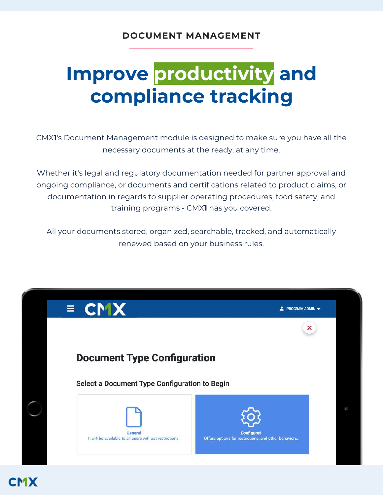# **Improve productivity and compliance tracking**

CMX**1**'s Document Management module is designed to make sure you have all the necessary documents at the ready, at any time.

Whether it's legal and regulatory documentation needed for partner approval and ongoing compliance, or documents and certifications related to product claims, or documentation in regards to supplier operating procedures, food safety, and training programs - CMX**1** has you covered.

All your documents stored, organized, searchable, tracked, and automatically renewed based on your business rules.



**CMX**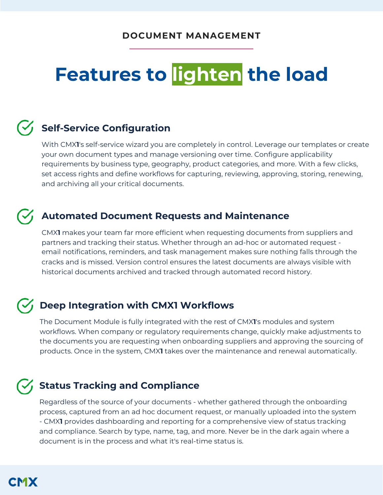# **Features to lighten the load**

### **Self-Service Configuration**

With CMX**1**'s self-service wizard you are completely in control. Leverage our templates or create your own document types and manage versioning over time. Configure applicability requirements by business type, geography, product categories, and more. With a few clicks, set access rights and define workflows for capturing, reviewing, approving, storing, renewing, and archiving all your critical documents.

#### **Automated Document Requests and Maintenance**

CMX**1** makes your team far more efficient when requesting documents from suppliers and partners and tracking their status. Whether through an ad-hoc or automated request email notifications, reminders, and task management makes sure nothing falls through the cracks and is missed. Version control ensures the latest documents are always visible with historical documents archived and tracked through automated record history.

### $\mathcal{F}_1$  Deep Integration with CMX1 Workflows

The Document Module is fully integrated with the rest of CMX**1**'s modules and system workflows. When company or regulatory requirements change, quickly make adjustments to the documents you are requesting when onboarding suppliers and approving the sourcing of products. Once in the system, CMX**1** takes over the maintenance and renewal automatically.

#### **Status Tracking and Compliance**

Regardless of the source of your documents - whether gathered through the onboarding process, captured from an ad hoc document request, or manually uploaded into the system - CMX**1** provides dashboarding and reporting for a comprehensive view of status tracking and compliance. Search by type, name, tag, and more. Never be in the dark again where a document is in the process and what it's real-time status is.

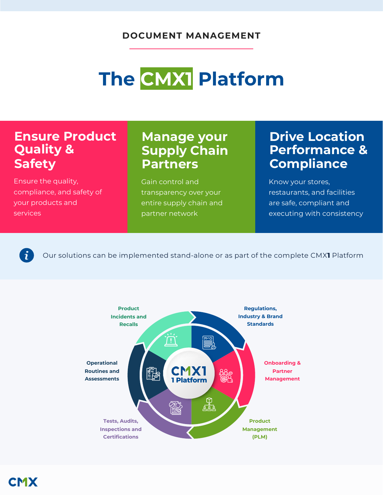# **The CMX1 Platform**

### **Ensure Product Quality & Safety**

Ensure the quality, compliance, and safety of your products and **services** 

### **Manage your Supply Chain Partners**

Gain control and transparency over your entire supply chain and partner network

### **Drive Location Performance & Compliance**

Know your stores, restaurants, and facilities are safe, compliant and executing with consistency

 $\boldsymbol{\check{\mathbf{i}}}$ 

Our solutions can be implemented stand-alone or as part of the complete CMX**1** Platform